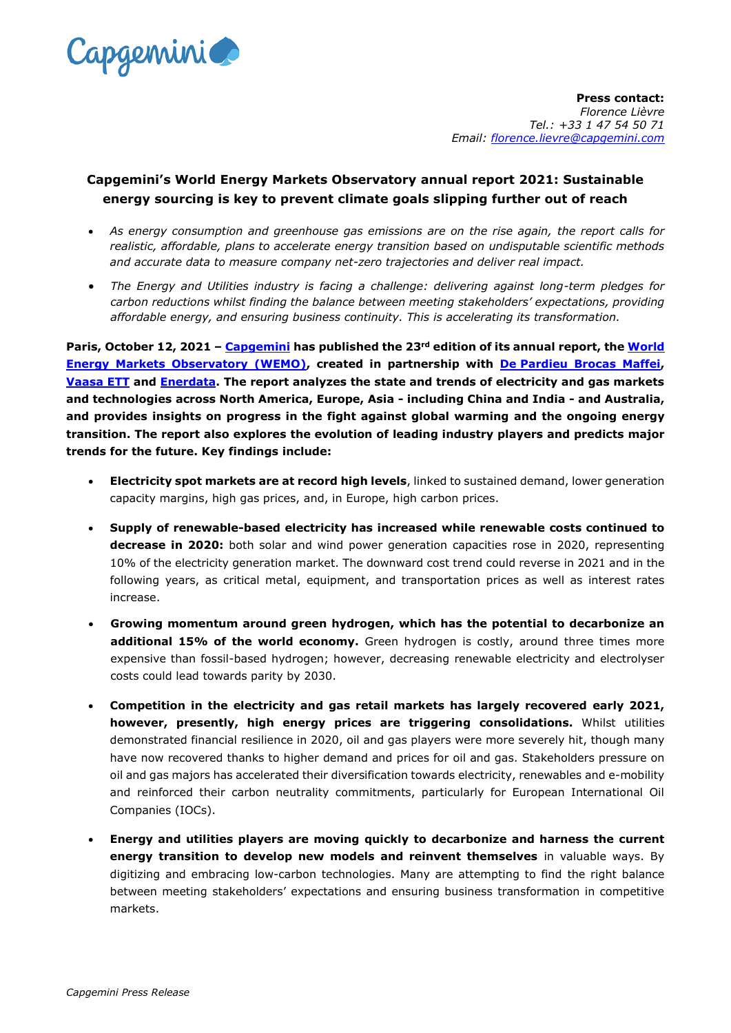

**Press contact:** *Florence Lièvre Tel.: +33 1 47 54 50 71 Email: [florence.lievre@capgemini.com](mailto:florence.lievre@capgemini.com)*

## **Capgemini's World Energy Markets Observatory annual report 2021: Sustainable energy sourcing is key to prevent climate goals slipping further out of reach**

- *As energy consumption and greenhouse gas emissions are on the rise again, the report calls for realistic, affordable, plans to accelerate energy transition based on undisputable scientific methods and accurate data to measure company net-zero trajectories and deliver real impact.*
- *The Energy and Utilities industry is facing a challenge: delivering against long-term pledges for carbon reductions whilst finding the balance between meeting stakeholders' expectations, providing affordable energy, and ensuring business continuity. This is accelerating its transformation.*

**Paris, October 12, 2021 – [Capgemini](https://www.capgemini.com/) has published the 23rd edition of its annual report, the [World](http://www.capgemini.com/wemo)  [Energy Markets Observatory \(WEMO\),](http://www.capgemini.com/wemo) created in partnership with De [Pardieu Brocas Maffei,](http://www.de-pardieu.com/) [Vaasa ETT](http://www.vaasaett.com/) and Enerdata. The report analyzes the state and trends of electricity and gas markets and technologies across North America, Europe, Asia - including China and India - and Australia, and provides insights on progress in the fight against global warming and the ongoing energy transition. The report also explores the evolution of leading industry players and predicts major trends for the future. Key findings include:** 

- **Electricity spot markets are at record high levels**, linked to sustained demand, lower generation capacity margins, high gas prices, and, in Europe, high carbon prices.
- **Supply of renewable-based electricity has increased while renewable costs continued to decrease in 2020:** both solar and wind power generation capacities rose in 2020, representing 10% of the electricity generation market. The downward cost trend could reverse in 2021 and in the following years, as critical metal, equipment, and transportation prices as well as interest rates increase.
- **Growing momentum around green hydrogen, which has the potential to decarbonize an**  additional 15% of the world economy. Green hydrogen is costly, around three times more expensive than fossil-based hydrogen; however, decreasing renewable electricity and electrolyser costs could lead towards parity by 2030.
- **Competition in the electricity and gas retail markets has largely recovered early 2021, however, presently, high energy prices are triggering consolidations.** Whilst utilities demonstrated financial resilience in 2020, oil and gas players were more severely hit, though many have now recovered thanks to higher demand and prices for oil and gas. Stakeholders pressure on oil and gas majors has accelerated their diversification towards electricity, renewables and e-mobility and reinforced their carbon neutrality commitments, particularly for European International Oil Companies (IOCs).
- **Energy and utilities players are moving quickly to decarbonize and harness the current energy transition to develop new models and reinvent themselves** in valuable ways. By digitizing and embracing low-carbon technologies. Many are attempting to find the right balance between meeting stakeholders' expectations and ensuring business transformation in competitive markets.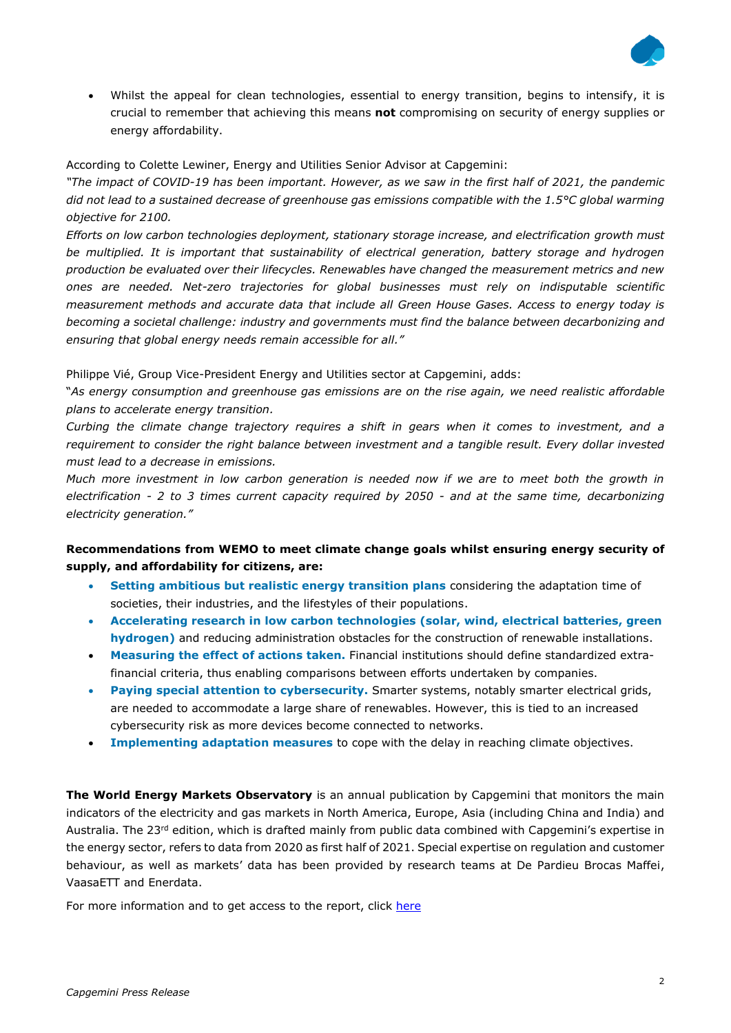

• Whilst the appeal for clean technologies, essential to energy transition, begins to intensify, it is crucial to remember that achieving this means **not** compromising on security of energy supplies or energy affordability.

According to Colette Lewiner, Energy and Utilities Senior Advisor at Capgemini:

*"The impact of COVID-19 has been important. However, as we saw in the first half of 2021, the pandemic did not lead to a sustained decrease of greenhouse gas emissions compatible with the 1.5°C global warming objective for 2100.* 

*Efforts on low carbon technologies deployment, stationary storage increase, and electrification growth must be multiplied. It is important that sustainability of electrical generation, battery storage and hydrogen production be evaluated over their lifecycles. Renewables have changed the measurement metrics and new ones are needed. Net-zero trajectories for global businesses must rely on indisputable scientific measurement methods and accurate data that include all Green House Gases. Access to energy today is becoming a societal challenge: industry and governments must find the balance between decarbonizing and ensuring that global energy needs remain accessible for all."*

Philippe Vié, Group Vice-President Energy and Utilities sector at Capgemini, adds:

"*As energy consumption and greenhouse gas emissions are on the rise again, we need realistic affordable plans to accelerate energy transition.*

*Curbing the climate change trajectory requires a shift in gears when it comes to investment, and a requirement to consider the right balance between investment and a tangible result. Every dollar invested must lead to a decrease in emissions.*

*Much more investment in low carbon generation is needed now if we are to meet both the growth in electrification - 2 to 3 times current capacity required by 2050 - and at the same time, decarbonizing electricity generation."*

## **Recommendations from WEMO to meet climate change goals whilst ensuring energy security of supply, and affordability for citizens, are:**

- **Setting ambitious but realistic energy transition plans** considering the adaptation time of societies, their industries, and the lifestyles of their populations.
- **Accelerating research in low carbon technologies (solar, wind, electrical batteries, green hydrogen)** and reducing administration obstacles for the construction of renewable installations.
- **Measuring the effect of actions taken.** Financial institutions should define standardized extrafinancial criteria, thus enabling comparisons between efforts undertaken by companies.
- **Paying special attention to cybersecurity.** Smarter systems, notably smarter electrical grids, are needed to accommodate a large share of renewables. However, this is tied to an increased cybersecurity risk as more devices become connected to networks.
- **Implementing adaptation measures** to cope with the delay in reaching climate objectives.

**The World Energy Markets Observatory** is an annual publication by Capgemini that monitors the main indicators of the electricity and gas markets in North America, Europe, Asia (including China and India) and Australia. The 23<sup>rd</sup> edition, which is drafted mainly from public data combined with Capgemini's expertise in the energy sector, refers to data from 2020 as first half of 2021. Special expertise on regulation and customer behaviour, as well as markets' data has been provided by research teams at De Pardieu Brocas Maffei, VaasaETT and Enerdata.

For more information and to get access to the report, click [here](http://www.capgemini.com/wemo)